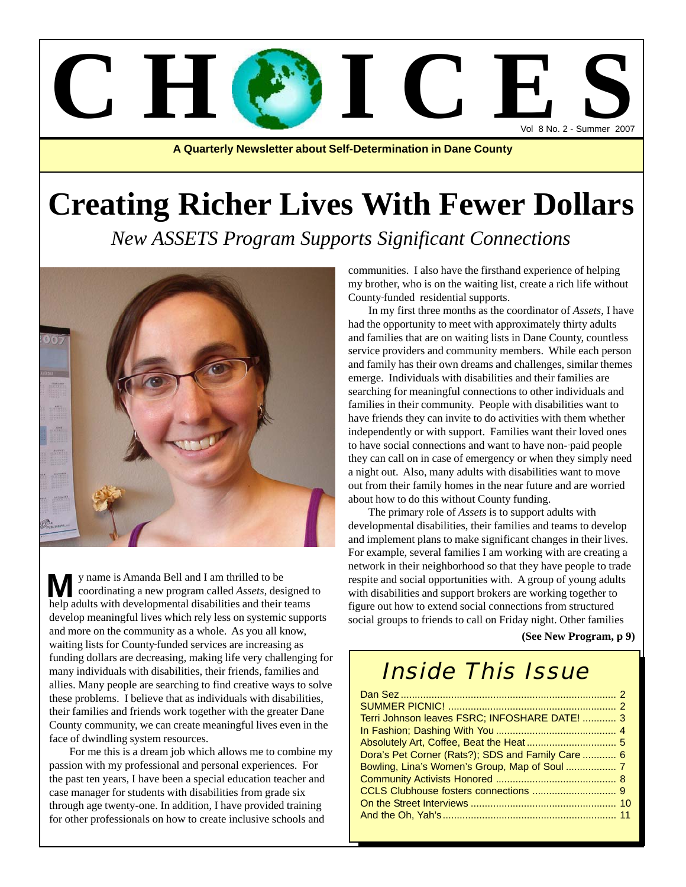# Vol 8 No. 2 - Summer 2007 C H C E S

**A Quarterly Newsletter about Self-Determination in Dane County**

# **Creating Richer Lives With Fewer Dollars**

*New ASSETS Program Supports Significant Connections*



y name is Amanda Bell and I am thrilled to be coordinating a new program called *Assets*, designed to **M** y name is Amanda Bell and I am thrilled to be coordinating a new program called *Assets*, designed help adults with developmental disabilities and their teams develop meaningful lives which rely less on systemic supports and more on the community as a whole. As you all know, waiting lists for County funded services are increasing as funding dollars are decreasing, making life very challenging for many individuals with disabilities, their friends, families and allies. Many people are searching to find creative ways to solve these problems. I believe that as individuals with disabilities, their families and friends work together with the greater Dane County community, we can create meaningful lives even in the face of dwindling system resources.

For me this is a dream job which allows me to combine my passion with my professional and personal experiences. For the past ten years, I have been a special education teacher and case manager for students with disabilities from grade six through age twenty-one. In addition, I have provided training for other professionals on how to create inclusive schools and

communities. I also have the firsthand experience of helping my brother, who is on the waiting list, create a rich life without County funded residential supports.

In my first three months as the coordinator of *Assets*, I have had the opportunity to meet with approximately thirty adults and families that are on waiting lists in Dane County, countless service providers and community members. While each person and family has their own dreams and challenges, similar themes emerge. Individuals with disabilities and their families are searching for meaningful connections to other individuals and families in their community. People with disabilities want to have friends they can invite to do activities with them whether independently or with support. Families want their loved ones to have social connections and want to have non- paid people they can call on in case of emergency or when they simply need a night out. Also, many adults with disabilities want to move out from their family homes in the near future and are worried about how to do this without County funding.

The primary role of *Assets* is to support adults with developmental disabilities, their families and teams to develop and implement plans to make significant changes in their lives. For example, several families I am working with are creating a network in their neighborhood so that they have people to trade respite and social opportunities with. A group of young adults with disabilities and support brokers are working together to figure out how to extend social connections from structured social groups to friends to call on Friday night. Other families

**(See New Program, p 9)**

### Inside This Issue

| Terri Johnson leaves FSRC; INFOSHARE DATE!  3     |  |
|---------------------------------------------------|--|
|                                                   |  |
|                                                   |  |
| Dora's Pet Corner (Rats?); SDS and Family Care  6 |  |
|                                                   |  |
|                                                   |  |
|                                                   |  |
|                                                   |  |
|                                                   |  |
|                                                   |  |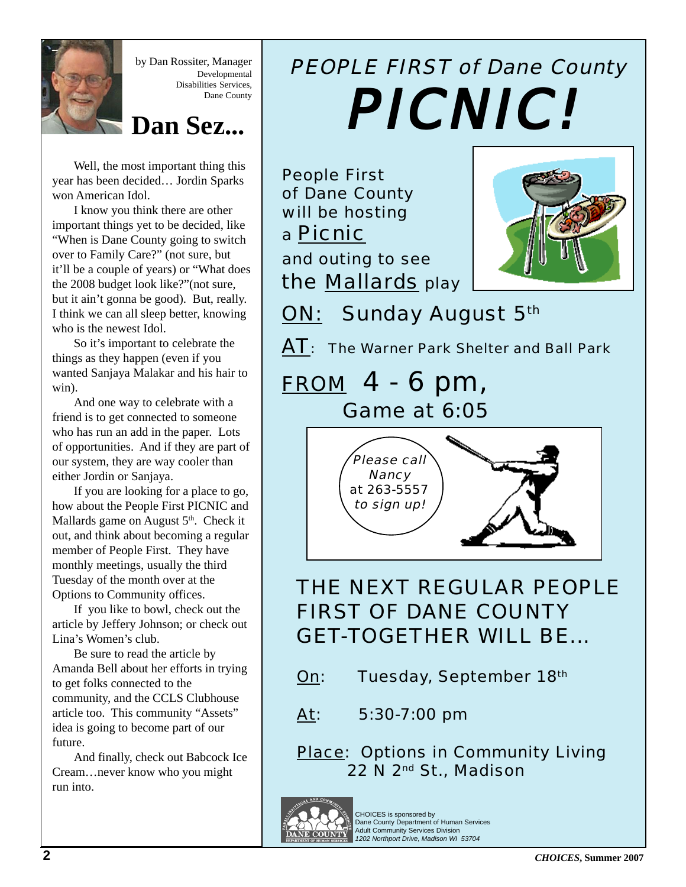

by Dan Rossiter, Manager Developmental Disabilities Services, Dane County

### **Dan Sez...**

Well, the most important thing this year has been decided… Jordin Sparks won American Idol.

I know you think there are other important things yet to be decided, like "When is Dane County going to switch over to Family Care?" (not sure, but it'll be a couple of years) or "What does the 2008 budget look like?"(not sure, but it ain't gonna be good). But, really. I think we can all sleep better, knowing who is the newest Idol.

So it's important to celebrate the things as they happen (even if you wanted Sanjaya Malakar and his hair to win).

And one way to celebrate with a friend is to get connected to someone who has run an add in the paper. Lots of opportunities. And if they are part of our system, they are way cooler than either Jordin or Sanjaya.

If you are looking for a place to go, how about the People First PICNIC and Mallards game on August  $5<sup>th</sup>$ . Check it out, and think about becoming a regular member of People First. They have monthly meetings, usually the third Tuesday of the month over at the Options to Community offices.

If you like to bowl, check out the article by Jeffery Johnson; or check out Lina's Women's club.

Be sure to read the article by Amanda Bell about her efforts in trying to get folks connected to the community, and the CCLS Clubhouse article too. This community "Assets" idea is going to become part of our future.

And finally, check out Babcock Ice Cream…never know who you might run into.

# PEOPLE FIRST of Dane County PICNIC! PICNIC! PICNIC!

People First of Dane County will be hosting a Picnic and outing to see



the Mallards play

ON: Sunday August 5th

AT: The Warner Park Shelter and Ball Park

## FROM 4 - 6 pm, Game at 6:05



### THE NEXT REGULAR PEOPLE FIRST OF DANE COUNTY GET-TOGETHER WILL BE...

- On: Tuesday, September 18th
- At: 5:30-7:00 pm

Place: Options in Community Living 22 N 2nd St., Madison



CHOICES is sponsored by Dane County Department of Human Services Adult Community Services Division *1202 Northport Drive, Madison WI 53704*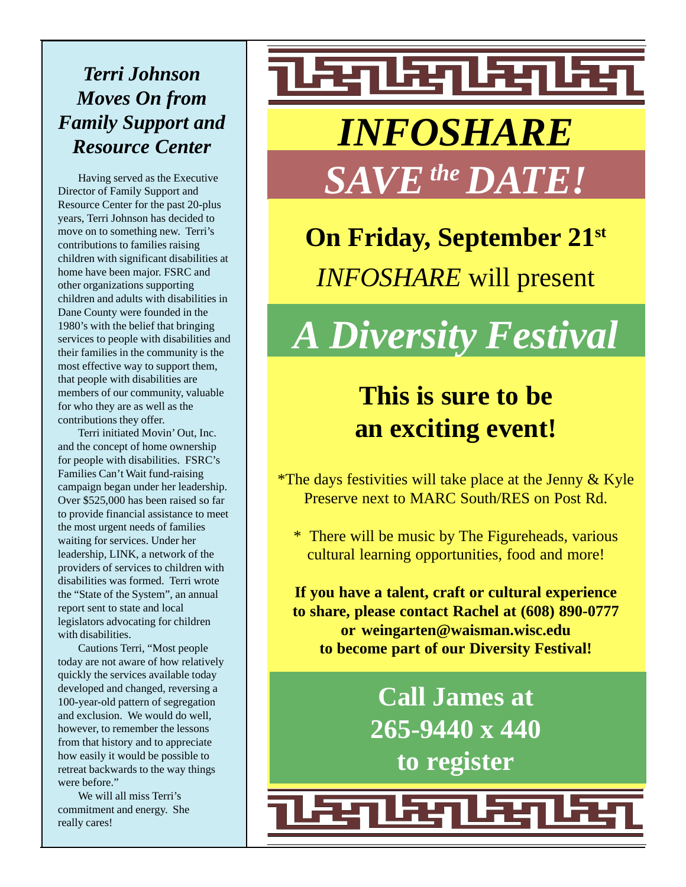# *Terri Johnson Moves On from Family Support and*

Having served as the Executive Director of Family Support and Resource Center for the past 20-plus years, Terri Johnson has decided to move on to something new. Terri's contributions to families raising children with significant disabilities at home have been major. FSRC and other organizations supporting children and adults with disabilities in Dane County were founded in the 1980's with the belief that bringing services to people with disabilities and their families in the community is the most effective way to support them, that people with disabilities are members of our community, valuable for who they are as well as the contributions they offer.

Terri initiated Movin' Out, Inc. and the concept of home ownership for people with disabilities. FSRC's Families Can't Wait fund-raising campaign began under her leadership. Over \$525,000 has been raised so far to provide financial assistance to meet the most urgent needs of families waiting for services. Under her leadership, LINK, a network of the providers of services to children with disabilities was formed. Terri wrote the "State of the System", an annual report sent to state and local legislators advocating for children with disabilities.

Cautions Terri, "Most people today are not aware of how relatively quickly the services available today developed and changed, reversing a 100-year-old pattern of segregation and exclusion. We would do well, however, to remember the lessons from that history and to appreciate how easily it would be possible to retreat backwards to the way things were before."

We will all miss Terri's commitment and energy. She really cares!

# <u> ध्वाध्याध्याध्य</u> *Resource Center INFOSHARE SAVE the DATE!*

**On Friday, September 21st** *INFOSHARE* will present

*A Diversity Festival*

## **This is sure to be an exciting event!**

\*The days festivities will take place at the Jenny & Kyle Preserve next to MARC South/RES on Post Rd.

\* There will be music by The Figureheads, various cultural learning opportunities, food and more!

**If you have a talent, craft or cultural experience to share, please contact Rachel at (608) 890-0777 or weingarten@waisman.wisc.edu to become part of our Diversity Festival!**

> **Call James at 265-9440 x 440 to register**

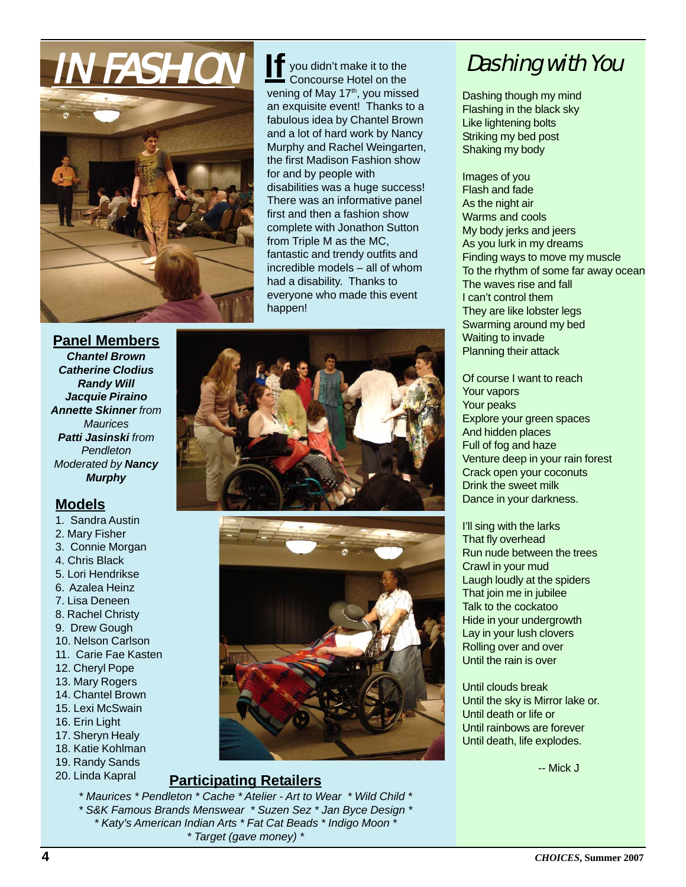

you didn't make it to the Concourse Hotel on the vening of May 17<sup>th</sup>, you missed an exquisite event! Thanks to a fabulous idea by Chantel Brown and a lot of hard work by Nancy Murphy and Rachel Weingarten, the first Madison Fashion show for and by people with disabilities was a huge success! There was an informative panel first and then a fashion show complete with Jonathon Sutton from Triple M as the MC, fantastic and trendy outfits and incredible models – all of whom had a disability. Thanks to everyone who made this event happen! **If**

**Panel Members** *Chantel Brown Catherine Clodius Randy Will Jacquie Piraino Annette Skinner from Maurices Patti Jasinski from Pendleton Moderated by Nancy Murphy*

### **Models**

- 1. Sandra Austin
- 2. Mary Fisher
- 3. Connie Morgan
- 4. Chris Black
- 5. Lori Hendrikse
- 6. Azalea Heinz
- 7. Lisa Deneen
- 8. Rachel Christy
- 9. Drew Gough
- 10. Nelson Carlson 11. Carie Fae Kasten
- 
- 12. Cheryl Pope
- 13. Mary Rogers 14. Chantel Brown
- 15. Lexi McSwain
- 16. Erin Light
- 17. Sheryn Healy
- 18. Katie Kohlman
- 19. Randy Sands
- 20. Linda Kapral

#### **Participating Retailers**

*\* Maurices \* Pendleton \* Cache \* Atelier - Art to Wear \* Wild Child \* \* S&K Famous Brands Menswear \* Suzen Sez \* Jan Byce Design \* \* Katy's American Indian Arts \* Fat Cat Beads \* Indigo Moon \* \* Target (gave money) \**

Dashing with You

Dashing though my mind Flashing in the black sky Like lightening bolts Striking my bed post Shaking my body

Images of you Flash and fade As the night air Warms and cools My body jerks and jeers As you lurk in my dreams Finding ways to move my muscle To the rhythm of some far away ocean The waves rise and fall I can't control them They are like lobster legs Swarming around my bed Waiting to invade Planning their attack

Of course I want to reach Your vapors Your peaks Explore your green spaces And hidden places Full of fog and haze Venture deep in your rain forest Crack open your coconuts Drink the sweet milk Dance in your darkness.

I'll sing with the larks That fly overhead Run nude between the trees Crawl in your mud Laugh loudly at the spiders That join me in jubilee Talk to the cockatoo Hide in your undergrowth Lay in your lush clovers Rolling over and over Until the rain is over

Until clouds break Until the sky is Mirror lake or. Until death or life or Until rainbows are forever Until death, life explodes.

-- Mick J



#### **4 CHOICES**, Summer 2007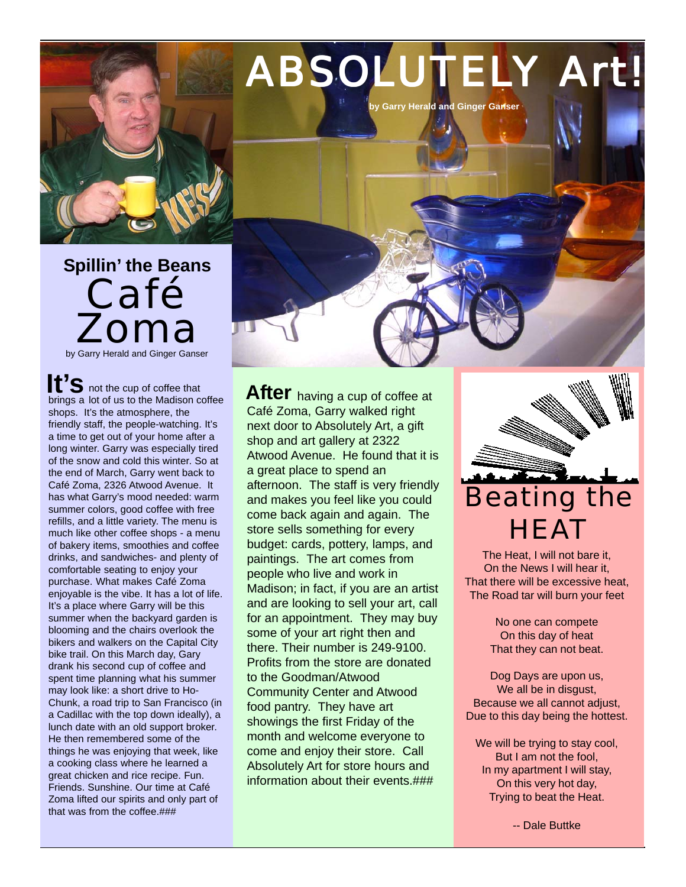

Café Zoma by Garry Herald and Ginger Ganser **Spillin' the Beans**

not the cup of coffee that **It'S** not the cup of coffee that<br>brings a lot of us to the Madison coffee shops. It's the atmosphere, the friendly staff, the people-watching. It's a time to get out of your home after a long winter. Garry was especially tired of the snow and cold this winter. So at the end of March, Garry went back to Café Zoma, 2326 Atwood Avenue. It has what Garry's mood needed: warm summer colors, good coffee with free refills, and a little variety. The menu is much like other coffee shops - a menu of bakery items, smoothies and coffee drinks, and sandwiches- and plenty of comfortable seating to enjoy your purchase. What makes Café Zoma enjoyable is the vibe. It has a lot of life. It's a place where Garry will be this summer when the backvard garden is blooming and the chairs overlook the bikers and walkers on the Capital City bike trail. On this March day, Gary drank his second cup of coffee and spent time planning what his summer may look like: a short drive to Ho-Chunk, a road trip to San Francisco (in a Cadillac with the top down ideally), a lunch date with an old support broker. He then remembered some of the things he was enjoying that week, like a cooking class where he learned a great chicken and rice recipe. Fun. Friends. Sunshine. Our time at Café Zoma lifted our spirits and only part of that was from the coffee.###

After having a cup of coffee at Café Zoma, Garry walked right next door to Absolutely Art, a gift shop and art gallery at 2322 Atwood Avenue. He found that it is a great place to spend an afternoon. The staff is very friendly and makes you feel like you could come back again and again. The store sells something for every budget: cards, pottery, lamps, and paintings. The art comes from people who live and work in Madison; in fact, if you are an artist and are looking to sell your art, call for an appointment. They may buy some of your art right then and there. Their number is 249-9100. Profits from the store are donated to the Goodman/Atwood Community Center and Atwood food pantry. They have art showings the first Friday of the month and welcome everyone to come and enjoy their store. Call Absolutely Art for store hours and information about their events.###



The Heat, I will not bare it, On the News I will hear it, That there will be excessive heat, The Road tar will burn your feet

> No one can compete On this day of heat That they can not beat.

Dog Days are upon us, We all be in disgust, Because we all cannot adjust, Due to this day being the hottest.

We will be trying to stay cool, But I am not the fool, In my apartment I will stay, On this very hot day, Trying to beat the Heat.

-- Dale Buttke

# ABSOLUTELY Art!

**by Garry Herald and Ginger Ganser**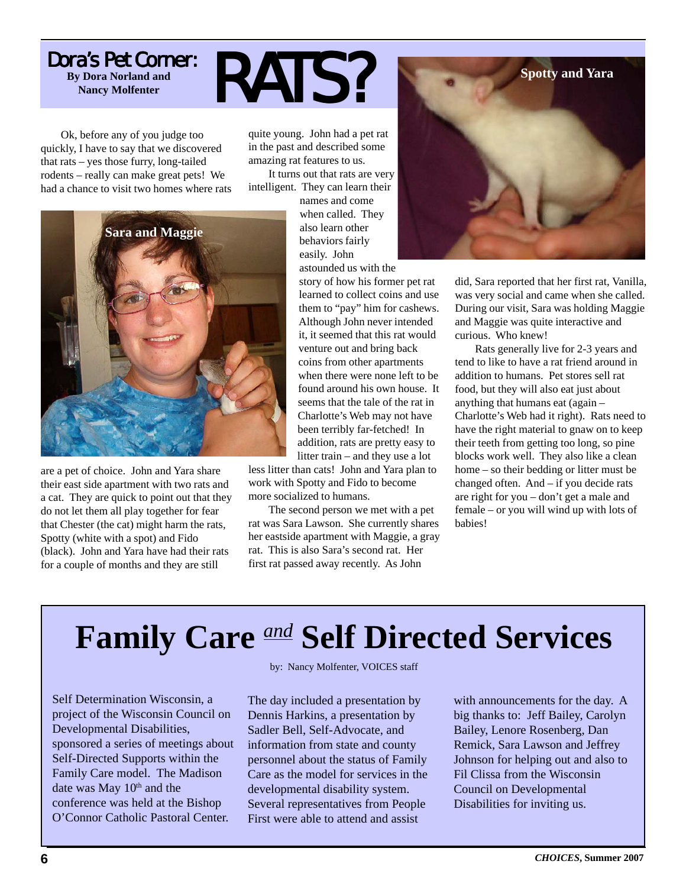### Dora's Pet Corner: **By Dora Norland and Nancy Molfenter RATS?**

Ok, before any of you judge too quickly, I have to say that we discovered that rats – yes those furry, long-tailed rodents – really can make great pets! We had a chance to visit two homes where rats

quite young. John had a pet rat in the past and described some amazing rat features to us.

It turns out that rats are very intelligent. They can learn their



are a pet of choice. John and Yara share their east side apartment with two rats and a cat. They are quick to point out that they do not let them all play together for fear that Chester (the cat) might harm the rats, Spotty (white with a spot) and Fido (black). John and Yara have had their rats for a couple of months and they are still

names and come when called. They also learn other behaviors fairly easily. John astounded us with the

story of how his former pet rat learned to collect coins and use them to "pay" him for cashews. Although John never intended it, it seemed that this rat would venture out and bring back coins from other apartments when there were none left to be found around his own house. It seems that the tale of the rat in Charlotte's Web may not have been terribly far-fetched! In addition, rats are pretty easy to litter train – and they use a lot

less litter than cats! John and Yara plan to work with Spotty and Fido to become more socialized to humans.

The second person we met with a pet rat was Sara Lawson. She currently shares her eastside apartment with Maggie, a gray rat. This is also Sara's second rat. Her first rat passed away recently. As John



did, Sara reported that her first rat, Vanilla, was very social and came when she called. During our visit, Sara was holding Maggie and Maggie was quite interactive and curious. Who knew!

Rats generally live for 2-3 years and tend to like to have a rat friend around in addition to humans. Pet stores sell rat food, but they will also eat just about anything that humans eat (again – Charlotte's Web had it right). Rats need to have the right material to gnaw on to keep their teeth from getting too long, so pine blocks work well. They also like a clean home – so their bedding or litter must be changed often. And – if you decide rats are right for you – don't get a male and female – or you will wind up with lots of babies!

# **Family Care** *and* **Self Directed Services**

Self Determination Wisconsin, a project of the Wisconsin Council on Developmental Disabilities, sponsored a series of meetings about Self-Directed Supports within the Family Care model. The Madison date was May 10<sup>th</sup> and the conference was held at the Bishop O'Connor Catholic Pastoral Center.

by: Nancy Molfenter, VOICES staff

The day included a presentation by Dennis Harkins, a presentation by Sadler Bell, Self-Advocate, and information from state and county personnel about the status of Family Care as the model for services in the developmental disability system. Several representatives from People First were able to attend and assist

with announcements for the day. A big thanks to: Jeff Bailey, Carolyn Bailey, Lenore Rosenberg, Dan Remick, Sara Lawson and Jeffrey Johnson for helping out and also to Fil Clissa from the Wisconsin Council on Developmental Disabilities for inviting us.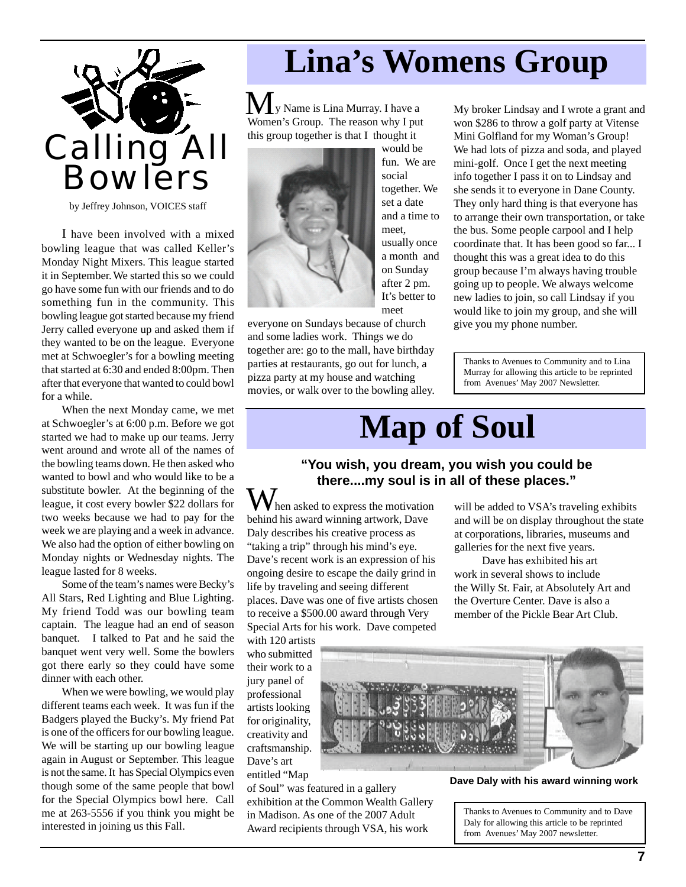

by Jeffrey Johnson, VOICES staff

I have been involved with a mixed bowling league that was called Keller's Monday Night Mixers. This league started it in September.We started this so we could go have some fun with our friends and to do something fun in the community. This bowling league got started because my friend Jerry called everyone up and asked them if they wanted to be on the league. Everyone met at Schwoegler's for a bowling meeting that started at 6:30 and ended 8:00pm. Then after that everyone that wanted to could bowl for a while.

When the next Monday came, we met at Schwoegler's at 6:00 p.m. Before we got started we had to make up our teams. Jerry went around and wrote all of the names of the bowling teams down. He then asked who wanted to bowl and who would like to be a substitute bowler. At the beginning of the league, it cost every bowler \$22 dollars for two weeks because we had to pay for the week we are playing and a week in advance. We also had the option of either bowling on Monday nights or Wednesday nights. The league lasted for 8 weeks.

Some of the team's names were Becky's All Stars, Red Lighting and Blue Lighting. My friend Todd was our bowling team captain. The league had an end of season banquet. I talked to Pat and he said the banquet went very well. Some the bowlers got there early so they could have some dinner with each other.

When we were bowling, we would play different teams each week. It was fun if the Badgers played the Bucky's. My friend Pat is one of the officers for our bowling league. We will be starting up our bowling league again in August or September. This league is not the same. It has Special Olympics even though some of the same people that bowl for the Special Olympics bowl here. Call me at 263-5556 if you think you might be interested in joining us this Fall.

# **Lina's Womens Group**

y Name is Lina Murray. I have a **M** y Name is Lina Murray. I have a<br>Women's Group. The reason why I put this group together is that I thought it



would be fun. We are social together. We set a date and a time to meet usually once a month and on Sunday after 2 pm. It's better to meet

everyone on Sundays because of church and some ladies work. Things we do together are: go to the mall, have birthday parties at restaurants, go out for lunch, a pizza party at my house and watching movies, or walk over to the bowling alley. My broker Lindsay and I wrote a grant and won \$286 to throw a golf party at Vitense Mini Golfland for my Woman's Group! We had lots of pizza and soda, and played mini-golf. Once I get the next meeting info together I pass it on to Lindsay and she sends it to everyone in Dane County. They only hard thing is that everyone has to arrange their own transportation, or take the bus. Some people carpool and I help coordinate that. It has been good so far... I thought this was a great idea to do this group because I'm always having trouble going up to people. We always welcome new ladies to join, so call Lindsay if you would like to join my group, and she will give you my phone number.

Thanks to Avenues to Community and to Lina Murray for allowing this article to be reprinted from Avenues' May 2007 Newsletter.

# **Map of Soul**

#### **"You wish, you dream, you wish you could be there....my soul is in all of these places."**

When asked to express the motivation behind his award winning artwork, Dave Daly describes his creative process as "taking a trip" through his mind's eye. Dave's recent work is an expression of his ongoing desire to escape the daily grind in life by traveling and seeing different places. Dave was one of five artists chosen to receive a \$500.00 award through Very Special Arts for his work. Dave competed

will be added to VSA's traveling exhibits and will be on display throughout the state at corporations, libraries, museums and galleries for the next five years.

Dave has exhibited his art work in several shows to include the Willy St. Fair, at Absolutely Art and the Overture Center. Dave is also a member of the Pickle Bear Art Club.

with 120 artists who submitted their work to a jury panel of professional artists looking for originality, creativity and craftsmanship. Dave's art entitled "Map

of Soul" was featured in a gallery exhibition at the Common Wealth Gallery in Madison. As one of the 2007 Adult Award recipients through VSA, his work



**Dave Daly with his award winning work**

Thanks to Avenues to Community and to Dave Daly for allowing this article to be reprinted from Avenues' May 2007 newsletter.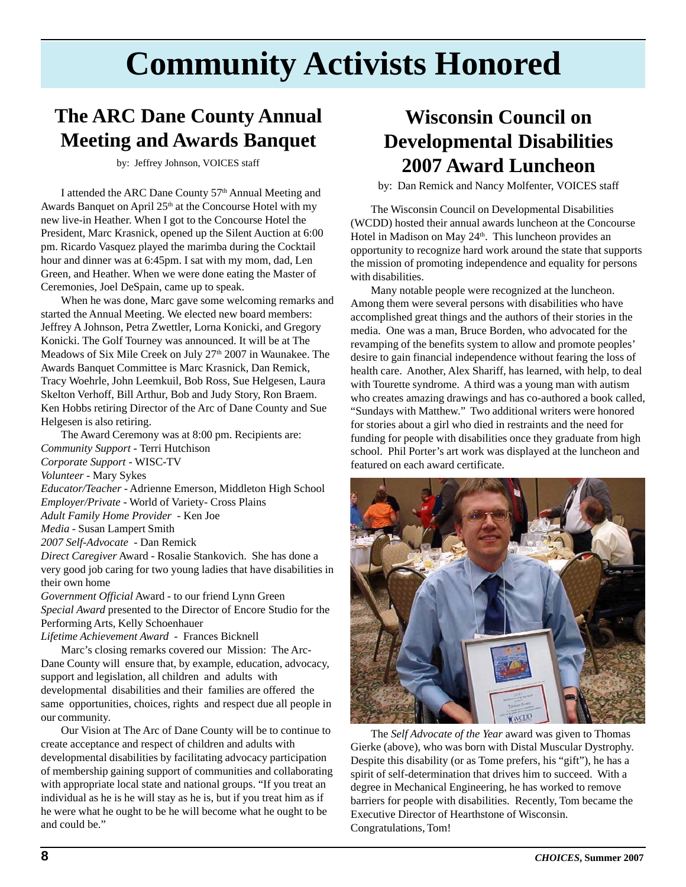# **Community Activists Honored**

### **The ARC Dane County Annual Meeting and Awards Banquet**

by: Jeffrey Johnson, VOICES staff

I attended the ARC Dane County 57th Annual Meeting and Awards Banquet on April  $25<sup>th</sup>$  at the Concourse Hotel with my new live-in Heather. When I got to the Concourse Hotel the President, Marc Krasnick, opened up the Silent Auction at 6:00 pm. Ricardo Vasquez played the marimba during the Cocktail hour and dinner was at 6:45pm. I sat with my mom, dad, Len Green, and Heather. When we were done eating the Master of Ceremonies, Joel DeSpain, came up to speak.

When he was done, Marc gave some welcoming remarks and started the Annual Meeting. We elected new board members: Jeffrey A Johnson, Petra Zwettler, Lorna Konicki, and Gregory Konicki. The Golf Tourney was announced. It will be at The Meadows of Six Mile Creek on July 27<sup>th</sup> 2007 in Waunakee. The Awards Banquet Committee is Marc Krasnick, Dan Remick, Tracy Woehrle, John Leemkuil, Bob Ross, Sue Helgesen, Laura Skelton Verhoff, Bill Arthur, Bob and Judy Story, Ron Braem. Ken Hobbs retiring Director of the Arc of Dane County and Sue Helgesen is also retiring.

The Award Ceremony was at 8:00 pm. Recipients are: *Community Support* - Terri Hutchison *Corporate Support* - WISC-TV *Volunteer* - Mary Sykes *Educator/Teacher* - Adrienne Emerson, Middleton High School *Employer/Private* - World of Variety- Cross Plains *Adult Family Home Provider* - Ken Joe *Media* - Susan Lampert Smith *2007 Self-Advocate* - Dan Remick *Direct Caregiver* Award - Rosalie Stankovich. She has done a very good job caring for two young ladies that have disabilities in their own home *Government Official* Award - to our friend Lynn Green

*Special Award* presented to the Director of Encore Studio for the Performing Arts, Kelly Schoenhauer

*Lifetime Achievement Award* - Frances Bicknell

Marc's closing remarks covered our Mission: The Arc-Dane County will ensure that, by example, education, advocacy, support and legislation, all children and adults with developmental disabilities and their families are offered the same opportunities, choices, rights and respect due all people in our community.

Our Vision at The Arc of Dane County will be to continue to create acceptance and respect of children and adults with developmental disabilities by facilitating advocacy participation of membership gaining support of communities and collaborating with appropriate local state and national groups. "If you treat an individual as he is he will stay as he is, but if you treat him as if he were what he ought to be he will become what he ought to be and could be."

### **Wisconsin Council on Developmental Disabilities 2007 Award Luncheon**

by: Dan Remick and Nancy Molfenter, VOICES staff

The Wisconsin Council on Developmental Disabilities (WCDD) hosted their annual awards luncheon at the Concourse Hotel in Madison on May 24<sup>th</sup>. This luncheon provides an opportunity to recognize hard work around the state that supports the mission of promoting independence and equality for persons with disabilities.

Many notable people were recognized at the luncheon. Among them were several persons with disabilities who have accomplished great things and the authors of their stories in the media. One was a man, Bruce Borden, who advocated for the revamping of the benefits system to allow and promote peoples' desire to gain financial independence without fearing the loss of health care. Another, Alex Shariff, has learned, with help, to deal with Tourette syndrome. A third was a young man with autism who creates amazing drawings and has co-authored a book called, "Sundays with Matthew." Two additional writers were honored for stories about a girl who died in restraints and the need for funding for people with disabilities once they graduate from high school. Phil Porter's art work was displayed at the luncheon and featured on each award certificate.



The *Self Advocate of the Year* award was given to Thomas Gierke (above), who was born with Distal Muscular Dystrophy. Despite this disability (or as Tome prefers, his "gift"), he has a spirit of self-determination that drives him to succeed. With a degree in Mechanical Engineering, he has worked to remove barriers for people with disabilities. Recently, Tom became the Executive Director of Hearthstone of Wisconsin. Congratulations, Tom!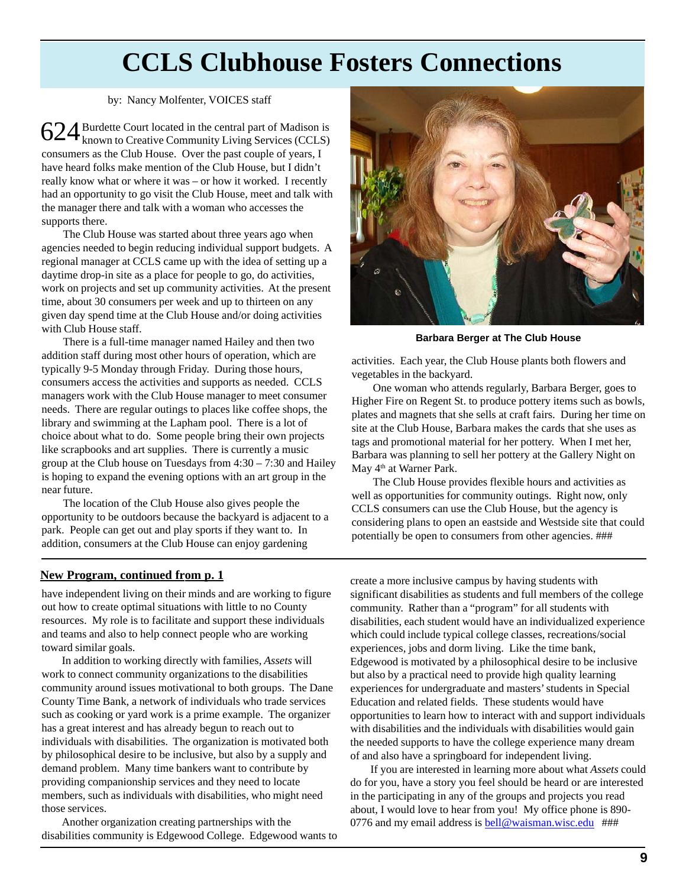### **CCLS Clubhouse Fosters Connections**

#### by: Nancy Molfenter, VOICES staff

 $624$  Burdette Court located in the central part of Madison is<br> $624$  known to Creative Community Living Services (CCLS) **the T** known to Creative Community Living Services (CCLS) consumers as the Club House. Over the past couple of years, I have heard folks make mention of the Club House, but I didn't really know what or where it was – or how it worked. I recently had an opportunity to go visit the Club House, meet and talk with the manager there and talk with a woman who accesses the supports there.

The Club House was started about three years ago when agencies needed to begin reducing individual support budgets. A regional manager at CCLS came up with the idea of setting up a daytime drop-in site as a place for people to go, do activities, work on projects and set up community activities. At the present time, about 30 consumers per week and up to thirteen on any given day spend time at the Club House and/or doing activities with Club House staff.

There is a full-time manager named Hailey and then two addition staff during most other hours of operation, which are typically 9-5 Monday through Friday. During those hours, consumers access the activities and supports as needed. CCLS managers work with the Club House manager to meet consumer needs. There are regular outings to places like coffee shops, the library and swimming at the Lapham pool. There is a lot of choice about what to do. Some people bring their own projects like scrapbooks and art supplies. There is currently a music group at the Club house on Tuesdays from 4:30 – 7:30 and Hailey is hoping to expand the evening options with an art group in the near future.

The location of the Club House also gives people the opportunity to be outdoors because the backyard is adjacent to a park. People can get out and play sports if they want to. In addition, consumers at the Club House can enjoy gardening



**Barbara Berger at The Club House**

activities. Each year, the Club House plants both flowers and vegetables in the backyard.

One woman who attends regularly, Barbara Berger, goes to Higher Fire on Regent St. to produce pottery items such as bowls, plates and magnets that she sells at craft fairs. During her time on site at the Club House, Barbara makes the cards that she uses as tags and promotional material for her pottery. When I met her, Barbara was planning to sell her pottery at the Gallery Night on May 4<sup>th</sup> at Warner Park.

The Club House provides flexible hours and activities as well as opportunities for community outings. Right now, only CCLS consumers can use the Club House, but the agency is considering plans to open an eastside and Westside site that could potentially be open to consumers from other agencies. ###

#### **New Program, continued from p. 1**

have independent living on their minds and are working to figure out how to create optimal situations with little to no County resources. My role is to facilitate and support these individuals and teams and also to help connect people who are working toward similar goals.

In addition to working directly with families, *Assets* will work to connect community organizations to the disabilities community around issues motivational to both groups. The Dane County Time Bank, a network of individuals who trade services such as cooking or yard work is a prime example. The organizer has a great interest and has already begun to reach out to individuals with disabilities. The organization is motivated both by philosophical desire to be inclusive, but also by a supply and demand problem. Many time bankers want to contribute by providing companionship services and they need to locate members, such as individuals with disabilities, who might need those services.

Another organization creating partnerships with the disabilities community is Edgewood College. Edgewood wants to create a more inclusive campus by having students with significant disabilities as students and full members of the college community. Rather than a "program" for all students with disabilities, each student would have an individualized experience which could include typical college classes, recreations/social experiences, jobs and dorm living. Like the time bank, Edgewood is motivated by a philosophical desire to be inclusive but also by a practical need to provide high quality learning experiences for undergraduate and masters' students in Special Education and related fields. These students would have opportunities to learn how to interact with and support individuals with disabilities and the individuals with disabilities would gain the needed supports to have the college experience many dream of and also have a springboard for independent living.

If you are interested in learning more about what *Assets* could do for you, have a story you feel should be heard or are interested in the participating in any of the groups and projects you read about, I would love to hear from you! My office phone is 890- 0776 and my email address is  $bell@waisman.wisc.edu$ ###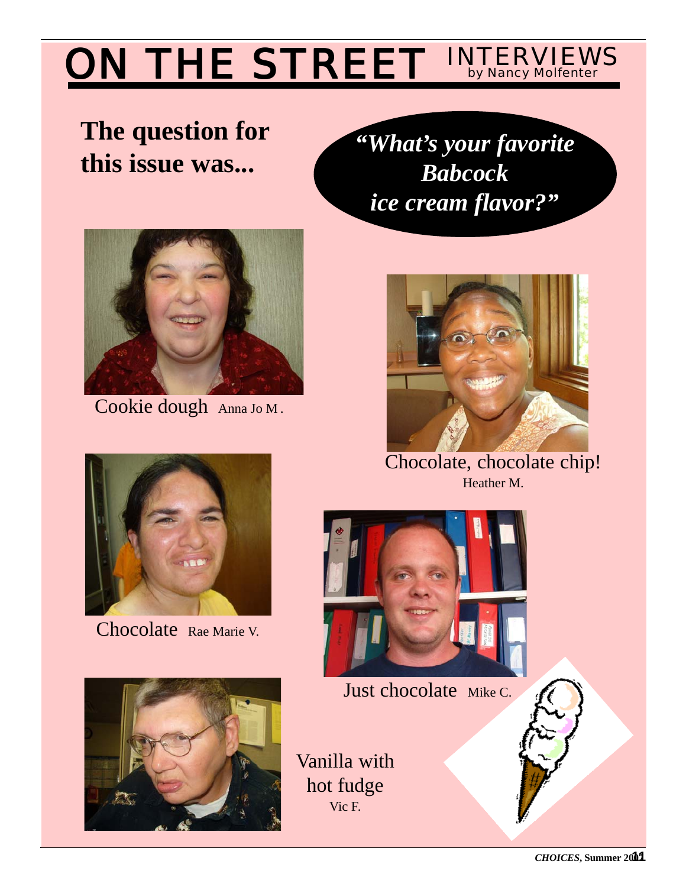### ON THE STREET **INTERVIEWS**

## **The question for this issue was...**

*"What's your favorite Babcock ice cream flavor?"*



Cookie dough Anna Jo M.



Chocolate, chocolate chip! Heather M.



Chocolate Rae Marie V.





Just chocolate Mike C.

Vanilla with hot fudge Vic F.